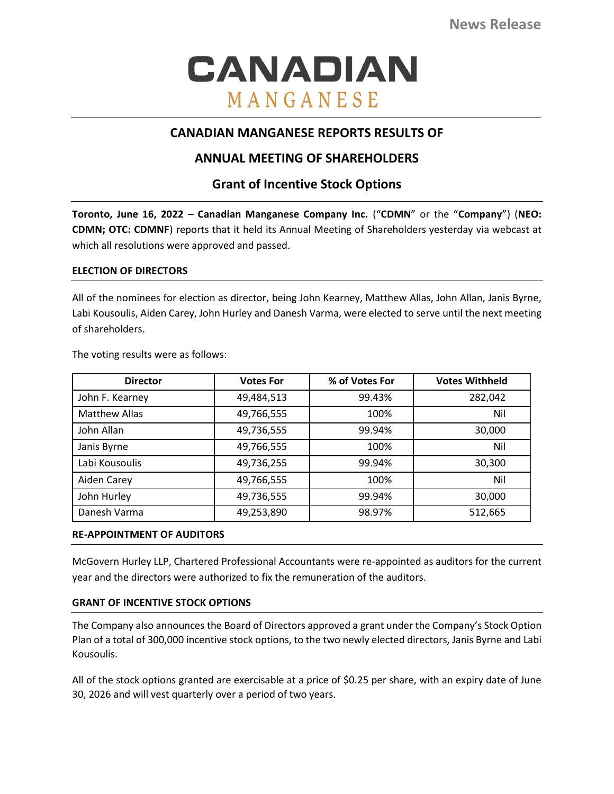# CANADIAN MANGANESE

# **CANADIAN MANGANESE REPORTS RESULTS OF**

# **ANNUAL MEETING OF SHAREHOLDERS**

# **Grant of Incentive Stock Options**

**Toronto, June 16, 2022 – Canadian Manganese Company Inc.** ("**CDMN**" or the "**Company**") (**NEO: CDMN; OTC: CDMNF**) reports that it held its Annual Meeting of Shareholders yesterday via webcast at which all resolutions were approved and passed.

## **ELECTION OF DIRECTORS**

All of the nominees for election as director, being John Kearney, Matthew Allas, John Allan, Janis Byrne, Labi Kousoulis, Aiden Carey, John Hurley and Danesh Varma, were elected to serve until the next meeting of shareholders.

| <b>Director</b>      | <b>Votes For</b> | % of Votes For | <b>Votes Withheld</b> |
|----------------------|------------------|----------------|-----------------------|
| John F. Kearney      | 49,484,513       | 99.43%         | 282,042               |
| <b>Matthew Allas</b> | 49,766,555       | 100%           | Nil                   |
| John Allan           | 49,736,555       | 99.94%         | 30,000                |
| Janis Byrne          | 49,766,555       | 100%           | Nil                   |
| Labi Kousoulis       | 49,736,255       | 99.94%         | 30,300                |
| Aiden Carey          | 49,766,555       | 100%           | Nil                   |
| John Hurley          | 49,736,555       | 99.94%         | 30,000                |
| Danesh Varma         | 49,253,890       | 98.97%         | 512,665               |

The voting results were as follows:

# **RE-APPOINTMENT OF AUDITORS**

McGovern Hurley LLP, Chartered Professional Accountants were re-appointed as auditors for the current year and the directors were authorized to fix the remuneration of the auditors.

# **GRANT OF INCENTIVE STOCK OPTIONS**

The Company also announces the Board of Directors approved a grant under the Company's Stock Option Plan of a total of 300,000 incentive stock options, to the two newly elected directors, Janis Byrne and Labi Kousoulis.

All of the stock options granted are exercisable at a price of \$0.25 per share, with an expiry date of June 30, 2026 and will vest quarterly over a period of two years.